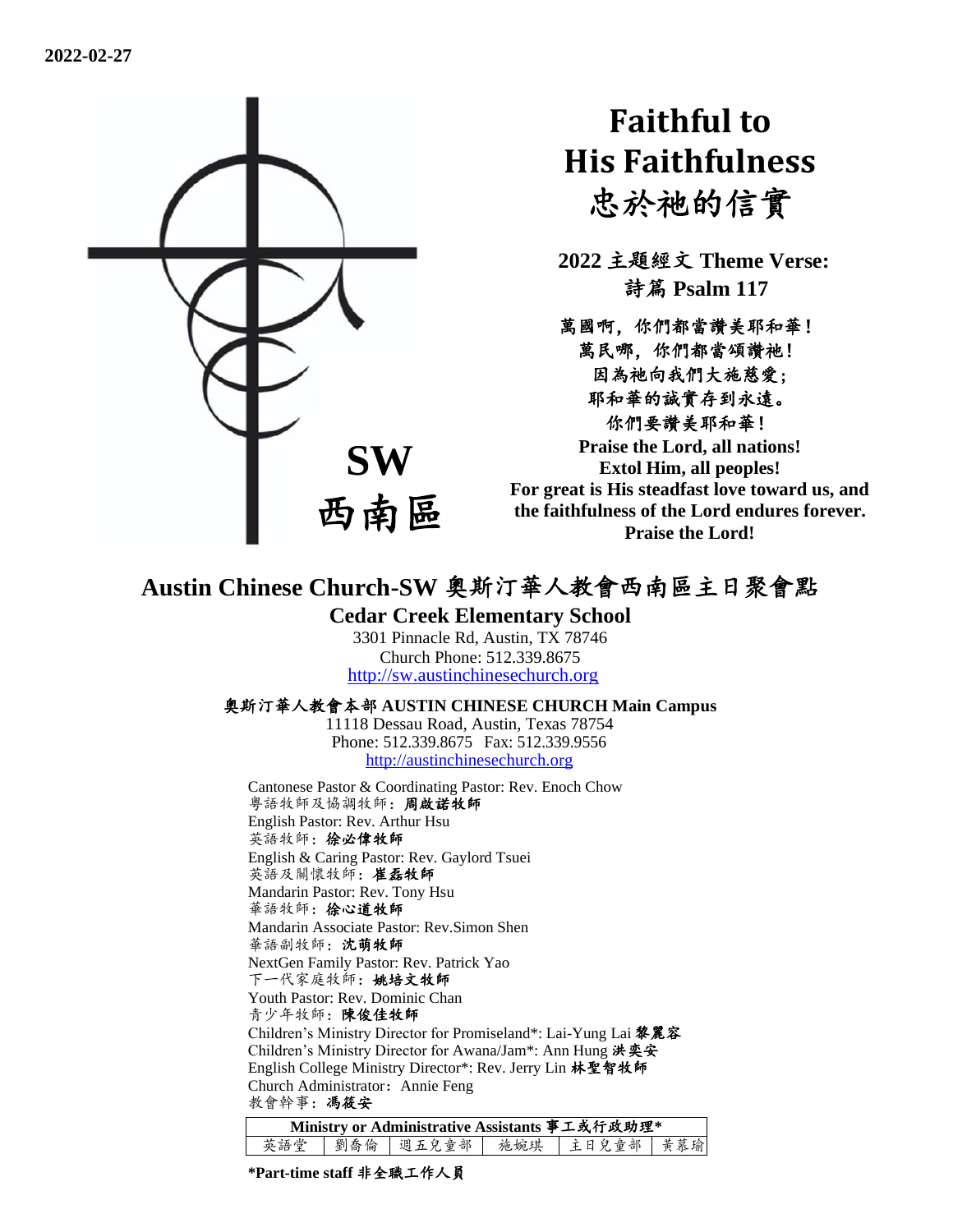

# **Faithful to His Faithfulness** 忠於祂的信實

**2022** 主題經文 **Theme Verse:** 詩篇 **Psalm 117**

萬國啊,你們都當讚美耶和華! 萬民哪,你們都當頌讚祂! 因為祂向我們大施慈愛; 耶和華的誠實存到永遠。 你們要讚美耶和華! **Praise the Lord, all nations!** 

**Extol Him, all peoples! For great is His steadfast love toward us, and the faithfulness of the Lord endures forever. Praise the Lord!**

## **Austin Chinese Church-SW** 奧斯汀華人教會西南區主日聚會點

### **Cedar Creek Elementary School**

3301 Pinnacle Rd, Austin, TX 78746 Church Phone: 512.339.8675 [http://sw.austinchinesechurch.org](http://sw.austinchinesechurch.org/)

#### 奧斯汀華人教會本部 **AUSTIN CHINESE CHURCH Main Campus**

11118 Dessau Road, Austin, Texas 78754 Phone: 512.339.8675 Fax: 512.339.9556 [http://austinchinesechurch.org](http://austinchinesechurch.org/)

Cantonese Pastor & Coordinating Pastor: Rev. Enoch Chow 粵語牧師及協調牧師:周啟諾牧師 English Pastor: Rev. Arthur Hsu 英語牧師:徐必偉牧師 English & Caring Pastor: Rev. Gaylord Tsuei 英語及關懷牧師:崔磊牧師 Mandarin Pastor: Rev. Tony Hsu 華語牧師:徐心道牧師 Mandarin Associate Pastor: Rev.Simon Shen 華語副牧師:沈萌牧師 NextGen Family Pastor: Rev. Patrick Yao 下一代家庭牧師:姚培文牧師 Youth Pastor: Rev. Dominic Chan 青少年牧師:陳俊佳牧師 Children's Ministry Director for Promiseland\*: Lai-Yung Lai 黎麗容 Children's Ministry Director for Awana/Jam\*: Ann Hung 洪奕安 English College Ministry Director\*: Rev. Jerry Lin 林聖智牧師 Church Administrator: Annie Feng 教會幹事:馮筱安

| Ministry or Administrative Assistants 事工或行政助理* |  |  |  |                                 |  |  |  |  |
|------------------------------------------------|--|--|--|---------------------------------|--|--|--|--|
| 英語堂                                            |  |  |  | 劉喬倫   週五兒童部   施婉琪   主日兒童部   黄慕瑜 |  |  |  |  |

**\*Part-time staff** 非全職工作人員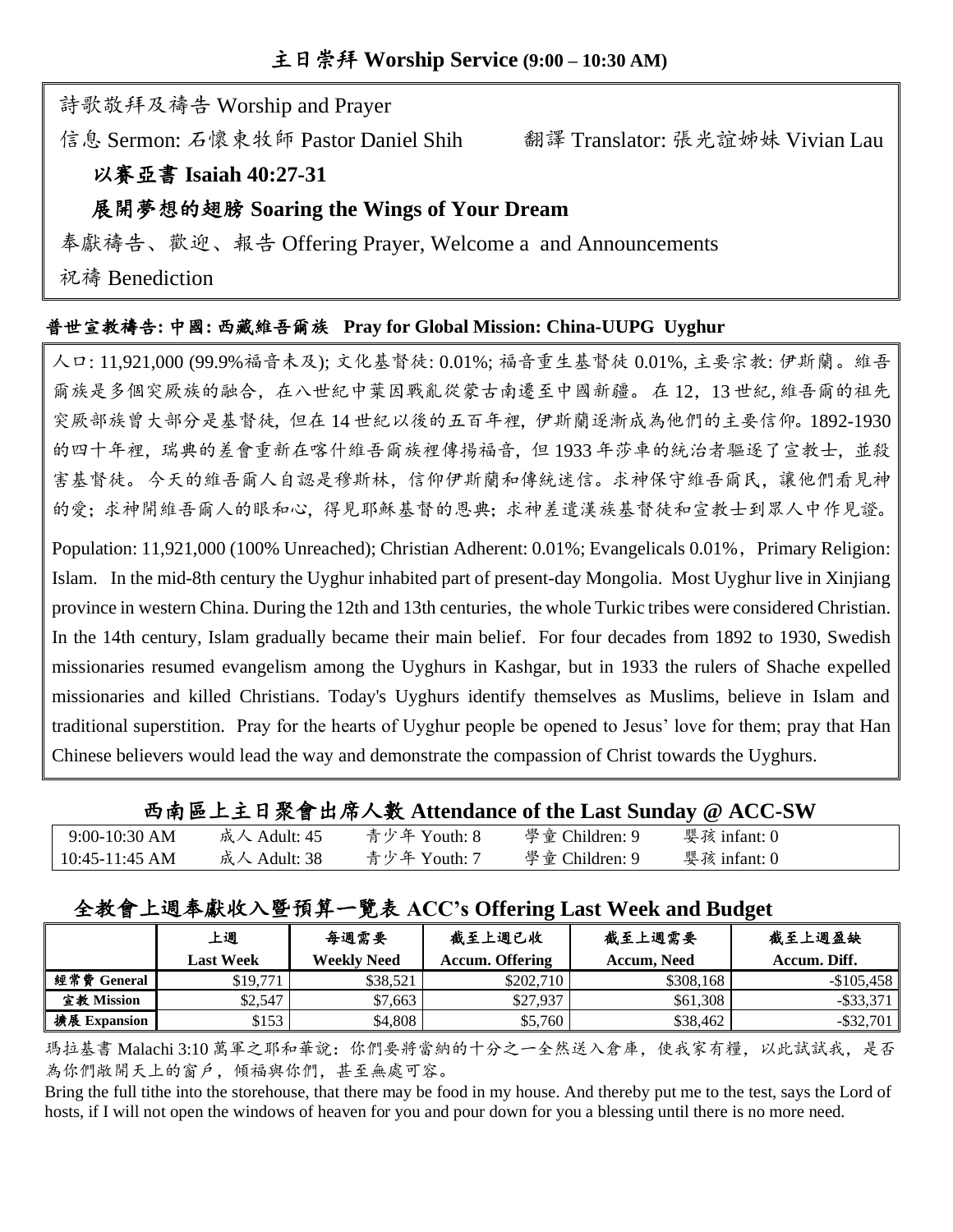詩歌敬拜及禱告 Worship and Prayer

信息 Sermon: 石懷東牧師 Pastor Daniel Shih 翻譯 Translator: 張光誼姊妹 Vivian Lau

## 以賽亞書 **Isaiah 40:27-31**

## 展開夢想的翅膀 **Soaring the Wings of Your Dream**

奉獻禱告、歡迎、報告 Offering Prayer, Welcome a and Announcements

祝禱 Benediction

## 普世宣教禱告**:** 中國**:** 西藏維吾爾族 **Pray for Global Mission: China-UUPG Uyghur**

人口: 11,921,000 (99.9%福音未及); 文化基督徒: 0.01%; 福音重生基督徒 0.01%, 主要宗教: 伊斯蘭。維吾 爾族是多個突厥族的融合,在八世紀中葉因戰亂從蒙古南遷至中國新疆。在12,13 世紀,維吾爾的祖先 突厥部族曾大部分是基督徒,但在 14 世紀以後的五百年裡,伊斯蘭逐漸成為他們的主要信仰。1892-1930 的四十年裡,瑞典的差會重新在喀什維吾爾族裡傳揚福音,但 1933 年莎車的統治者驅逐了宣教士,並殺 害基督徒。今天的維吾爾人自認是穆斯林,信仰伊斯蘭和傳統迷信。求神保守維吾爾民,讓他們看見神 的愛;求神開維吾爾人的眼和心,得見耶穌基督的恩典;求神差遣漢族基督徒和宣教士到眾人中作見證。

Population: 11,921,000 (100% Unreached); Christian Adherent: 0.01%; Evangelicals 0.01%, Primary Religion: Islam. In the mid-8th century the Uyghur inhabited part of present-day Mongolia. Most Uyghur live in Xinjiang province in western China. During the 12th and 13th centuries, the whole Turkic tribes were considered Christian. In the 14th century, Islam gradually became their main belief. For four decades from 1892 to 1930, Swedish missionaries resumed evangelism among the Uyghurs in Kashgar, but in 1933 the rulers of Shache expelled missionaries and killed Christians. Today's Uyghurs identify themselves as Muslims, believe in Islam and traditional superstition. Pray for the hearts of Uyghur people be opened to Jesus' love for them; pray that Han Chinese believers would lead the way and demonstrate the compassion of Christ towards the Uyghurs.

|                  |              |              |                | 西南區上主日聚會出席人數 Attendance of the Last Sunday @ ACC-SW |  |
|------------------|--------------|--------------|----------------|-----------------------------------------------------|--|
| $9:00-10:30$ AM  | 成人 Adult: 45 | 青少年 Youth: 8 | 學童 Children: 9 | 婴孩 infant: 0                                        |  |
| $10:45-11:45$ AM | 成人 Adult: 38 | 青少年 Youth: 7 | 學童 Children: 9 | 婴孩 infant: 0                                        |  |

## 全教會上週奉獻收入暨預算一覽表 **ACC's Offering Last Week and Budget**

|              | 上週               | 每週需要               | 截至上週已收                 | 截至上週需要      | 截至上週盈缺       |
|--------------|------------------|--------------------|------------------------|-------------|--------------|
|              | <b>Last Week</b> | <b>Weekly Need</b> | <b>Accum. Offering</b> | Accum, Need | Accum. Diff. |
| 經常費 General  | \$19,771         | \$38.521           | \$202,710              | \$308,168   | $-$105.458$  |
| 宣教 Mission   | \$2.547          | \$7.663            | \$27,937               | \$61.308    | $-$ \$33.371 |
| 擴展 Expansion | \$153            | \$4.808            | \$5,760                | \$38,462    | $-$ \$32,701 |

瑪拉基書 Malachi 3:10 萬軍之耶和華說:你們要將當納的十分之一全然送入倉庫,使我家有糧,以此試試我,是否 為你們敞開天上的窗戶,傾福與你們,甚至無處可容。

Bring the full tithe into the storehouse, that there may be food in my house. And thereby put me to the test, says the Lord of hosts, if I will not open the windows of heaven for you and pour down for you a blessing until there is no more need.